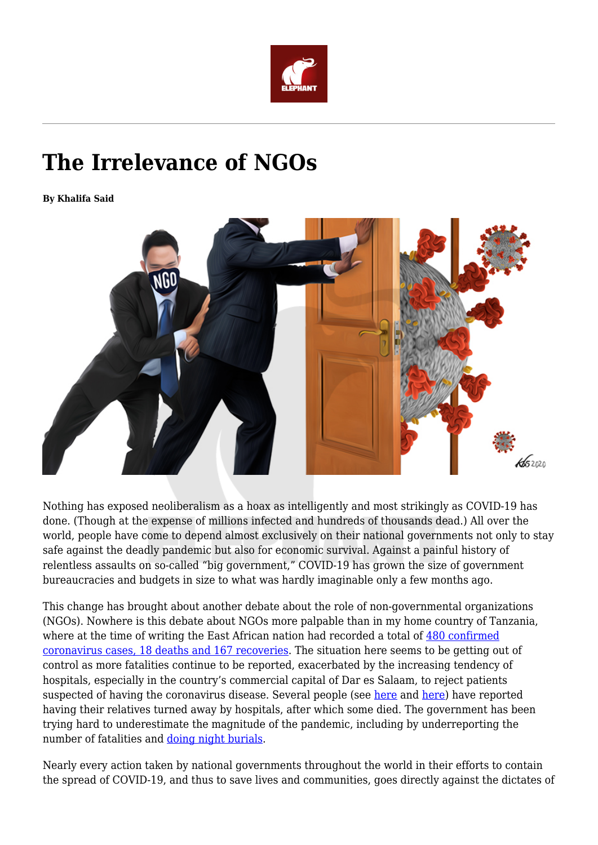

## **The Irrelevance of NGOs**

**By Khalifa Said**



Nothing has exposed neoliberalism as a hoax as intelligently and most strikingly as COVID-19 has done. (Though at the expense of millions infected and hundreds of thousands dead.) All over the world, people have come to depend almost exclusively on their national governments not only to stay safe against the deadly pandemic but also for economic survival. Against a painful history of relentless assaults on so-called "big government," COVID-19 has grown the size of government bureaucracies and budgets in size to what was hardly imaginable only a few months ago.

This change has brought about another debate about the role of non-governmental organizations (NGOs). Nowhere is this debate about NGOs more palpable than in my home country of Tanzania, where at the time of writing the East African nation had recorded a total of [480 confirmed](https://www.google.com/search?sxsrf=ALeKk02YneI9x9wPdgPDxRHMGowpa1W4tg%3A1588612962146&source=hp&ei=Yk-wXuDxBvaajLsP4o670As&q=tanzania+coronavirus+cases&oq=tanzania+coron&gs_lcp=CgZwc3ktYWIQARgAMgUIABCDATIFCAAQgwEyAggAMgIIADICCAAyBQgAEIMBMgIIADIFCAAQgwEyAggAMgIIADoECCMQJ1DbBlidHWCBNGgAcAB4AIAB4ASIAeIfkgEJMi01LjMuMS4ymAEAoAEBqgEHZ3dzLXdpeg&sclient=psy-ab) [coronavirus cases, 18 deaths and 167 recoveries](https://www.google.com/search?sxsrf=ALeKk02YneI9x9wPdgPDxRHMGowpa1W4tg%3A1588612962146&source=hp&ei=Yk-wXuDxBvaajLsP4o670As&q=tanzania+coronavirus+cases&oq=tanzania+coron&gs_lcp=CgZwc3ktYWIQARgAMgUIABCDATIFCAAQgwEyAggAMgIIADICCAAyBQgAEIMBMgIIADIFCAAQgwEyAggAMgIIADoECCMQJ1DbBlidHWCBNGgAcAB4AIAB4ASIAeIfkgEJMi01LjMuMS4ymAEAoAEBqgEHZ3dzLXdpeg&sclient=psy-ab). The situation here seems to be getting out of control as more fatalities continue to be reported, exacerbated by the increasing tendency of hospitals, especially in the country's commercial capital of Dar es Salaam, to reject patients suspected of having the coronavirus disease. Several people (see [here](https://twitter.com/HildaNewton21/status/1255551184561201155) and [here](https://twitter.com/MSalimu/status/1254814031015227393)) have reported having their relatives turned away by hospitals, after which some died. The government has been trying hard to underestimate the magnitude of the pandemic, including by underreporting the number of fatalities and [doing night burials.](https://twitter.com/iAlen/status/1254647095052689408)

Nearly every action taken by national governments throughout the world in their efforts to contain the spread of COVID-19, and thus to save lives and communities, goes directly against the dictates of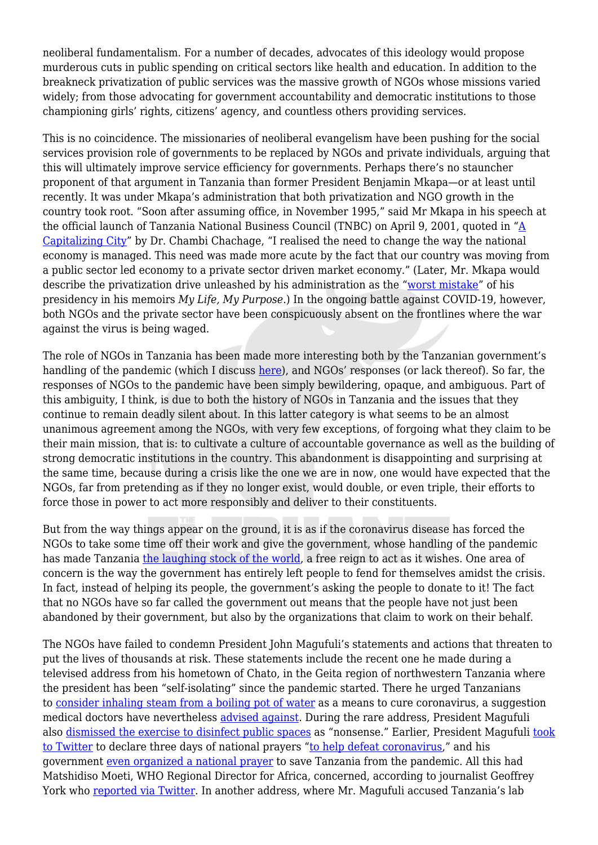neoliberal fundamentalism. For a number of decades, advocates of this ideology would propose murderous cuts in public spending on critical sectors like health and education. In addition to the breakneck privatization of public services was the massive growth of NGOs whose missions varied widely; from those advocating for government accountability and democratic institutions to those championing girls' rights, citizens' agency, and countless others providing services.

This is no coincidence. The missionaries of neoliberal evangelism have been pushing for the social services provision role of governments to be replaced by NGOs and private individuals, arguing that this will ultimately improve service efficiency for governments. Perhaps there's no stauncher proponent of that argument in Tanzania than former President Benjamin Mkapa—or at least until recently. It was under Mkapa's administration that both privatization and NGO growth in the country took root. "Soon after assuming office, in November 1995," said Mr Mkapa in his speech at the official launch of Tanzania National Business Council (TNBC) on April 9, 2001, quoted in ["A](https://dash.harvard.edu/handle/1/39947205) [Capitalizing City](https://dash.harvard.edu/handle/1/39947205)" by Dr. Chambi Chachage, "I realised the need to change the way the national economy is managed. This need was made more acute by the fact that our country was moving from a public sector led economy to a private sector driven market economy." (Later, Mr. Mkapa would describe the privatization drive unleashed by his administration as the "[worst mistake](https://www.ippmedia.com/en/news/mkapa-says-privatisation-worst-mistake-his-presidency)" of his presidency in his memoirs *My Life, My Purpose*.) In the ongoing battle against COVID-19, however, both NGOs and the private sector have been conspicuously absent on the frontlines where the war against the virus is being waged.

The role of NGOs in Tanzania has been made more interesting both by the Tanzanian government's handling of the pandemic (which I discuss [here](https://africasacountry.com/2020/04/the-devil-coronavirus)), and NGOs' responses (or lack thereof). So far, the responses of NGOs to the pandemic have been simply bewildering, opaque, and ambiguous. Part of this ambiguity, I think, is due to both the history of NGOs in Tanzania and the issues that they continue to remain deadly silent about. In this latter category is what seems to be an almost unanimous agreement among the NGOs, with very few exceptions, of forgoing what they claim to be their main mission, that is: to cultivate a culture of accountable governance as well as the building of strong democratic institutions in the country. This abandonment is disappointing and surprising at the same time, because during a crisis like the one we are in now, one would have expected that the NGOs, far from pretending as if they no longer exist, would double, or even triple, their efforts to force those in power to act more responsibly and deliver to their constituents.

But from the way things appear on the ground, it is as if the coronavirus disease has forced the NGOs to take some time off their work and give the government, whose handling of the pandemic has made Tanzania [the laughing stock of the world](https://twitter.com/search?q=%23UkaidiWaMagufuli&src=typed_query), a free reign to act as it wishes. One area of concern is the way the government has entirely left people to fend for themselves amidst the crisis. In fact, instead of helping its people, the government's asking the people to donate to it! The fact that no NGOs have so far called the government out means that the people have not just been abandoned by their government, but also by the organizations that claim to work on their behalf.

The NGOs have failed to condemn President John Magufuli's statements and actions that threaten to put the lives of thousands at risk. These statements include the recent one he made during a televised address from his hometown of Chato, in the Geita region of northwestern Tanzania where the president has been "self-isolating" since the pandemic started. There he urged Tanzanians to [consider inhaling steam from a boiling pot of water](https://twitter.com/JamiiForums/status/1252975184316956672) as a means to cure coronavirus, a suggestion medical doctors have nevertheless [advised against.](https://factcheck.afp.com/inhaling-steam-will-not-treat-or-cure-novel-coronavirus-infection) During the rare address, President Magufuli also [dismissed the exercise to disinfect public spaces](https://www.youtube.com/watch?v=gMFO3BOjv9Q) as "nonsense." Earlier, President Magufuli [took](https://twitter.com/MagufuliJP/status/1250814359519014912) [to Twitter](https://twitter.com/MagufuliJP/status/1250814359519014912) to declare three days of national prayers ["to help defeat coronavirus](https://www.voanews.com/covid-19-pandemic/tanzanian-president-declares-3-days-national-prayer-help-defeat-coronavirus)," and his government [even organized a national prayer](https://www.youtube.com/watch?v=l7JHEyVSj0U) to save Tanzania from the pandemic. All this had Matshidiso Moeti, WHO Regional Director for Africa, concerned, according to journalist Geoffrey York who [reported via Twitter](https://twitter.com/geoffreyyork/status/1253293102493831168). In another address, where Mr. Magufuli accused Tanzania's lab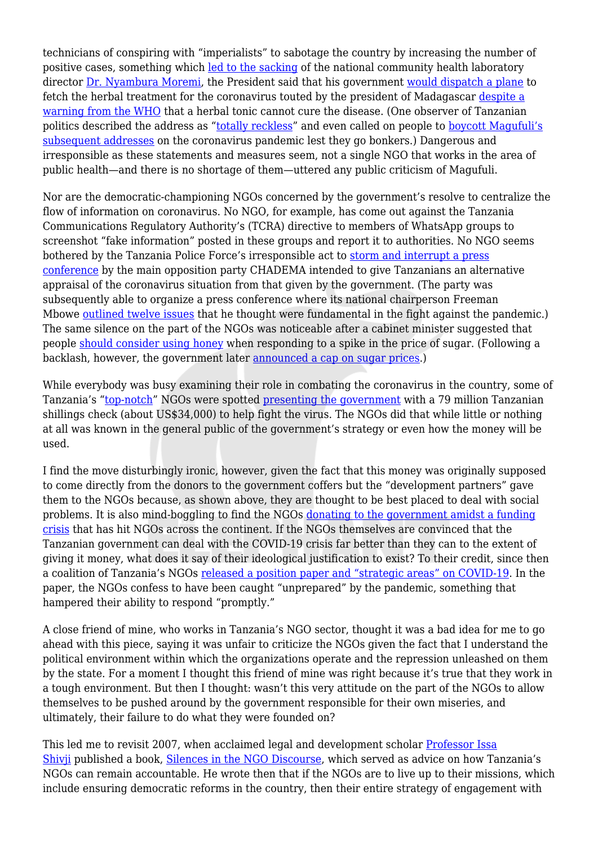technicians of conspiring with "imperialists" to sabotage the country by increasing the number of positive cases, something which [led to the sacking](https://www.thecitizen.co.tz/news/Tanzania-s-health-minister-suspends-National-laboratory-director/1840340-5542380-14nqp5uz/index.html) of the national community health laboratory director [Dr. Nyambura Moremi](https://www.linkedin.com/in/nyambura-moremi-a0506016?originalSubdomain=tz), the President said that his government [would dispatch a plane](https://www.aljazeera.com/news/2020/05/tanzania-president-questions-coronavirus-kits-animal-test-200503174100809.html) to fetch the herbal treatment for the coronavirus touted by the president of Madagascar [despite a](https://www.aljazeera.com/news/2020/05/madagascars-herbal-tonic-covid-19-cure-200504081212753.html) [warning from the WHO](https://www.aljazeera.com/news/2020/05/madagascars-herbal-tonic-covid-19-cure-200504081212753.html) that a herbal tonic cannot cure the disease. (One observer of Tanzanian politics described the address as ["totally reckless"](https://twitter.com/ThabitSenior/status/1256858692697370624) and even called on people to [boycott Magufuli's](https://medium.com/@thabitsenior.jacob/why-we-should-stop-watching-president-magufulis-live-coronavirus-addresses-23bba5ba4a50) [subsequent addresses](https://medium.com/@thabitsenior.jacob/why-we-should-stop-watching-president-magufulis-live-coronavirus-addresses-23bba5ba4a50) on the coronavirus pandemic lest they go bonkers.) Dangerous and irresponsible as these statements and measures seem, not a single NGO that works in the area of public health—and there is no shortage of them—uttered any public criticism of Magufuli.

Nor are the democratic-championing NGOs concerned by the government's resolve to centralize the flow of information on coronavirus. No NGO, for example, has come out against the Tanzania Communications Regulatory Authority's (TCRA) directive to members of WhatsApp groups to screenshot "fake information" posted in these groups and report it to authorities. No NGO seems bothered by the Tanzania Police Force's irresponsible act to [storm and interrupt a press](https://twitter.com/ChademaTz/status/1252869684690481152) [conference](https://twitter.com/ChademaTz/status/1252869684690481152) by the main opposition party CHADEMA intended to give Tanzanians an alternative appraisal of the coronavirus situation from that given by the government. (The party was subsequently able to organize a press conference where its national chairperson Freeman Mbowe [outlined twelve issues](https://www.thecitizen.co.tz/news/Mbowe-outlines-suggestions-for-virus-fight/1840340-5538448-f2dg0uz/index.html) that he thought were fundamental in the fight against the pandemic.) The same silence on the part of the NGOs was noticeable after a cabinet minister suggested that people [should consider using honey](https://twitter.com/swahilitimes/status/1250720273235664896) when responding to a spike in the price of sugar. (Following a backlash, however, the government later [announced a cap on sugar prices.](https://www.thecitizen.co.tz/news/Tanzania-government-sets-indicative-sugar-prices-after-spike/1840340-5533136-y8kate/index.html))

While everybody was busy examining their role in combating the coronavirus in the country, some of Tanzania's ["top-notch](https://twitter.com/HCPamelaO/status/1248345803644690432)" NGOs were spotted [presenting the government](https://allafrica.com/stories/202004130228.html) with a 79 million Tanzanian shillings check (about US\$34,000) to help fight the virus. The NGOs did that while little or nothing at all was known in the general public of the government's strategy or even how the money will be used.

I find the move disturbingly ironic, however, given the fact that this money was originally supposed to come directly from the donors to the government coffers but the "development partners" gave them to the NGOs because, as shown above, they are thought to be best placed to deal with social problems. It is also mind-boggling to find the NGOs [donating to the government amidst a funding](https://www.france24.com/en/20200411-coronavirus-pandemic-hits-aid-work-funding-across-sub-saharan-africa) [crisis](https://www.france24.com/en/20200411-coronavirus-pandemic-hits-aid-work-funding-across-sub-saharan-africa) that has hit NGOs across the continent. If the NGOs themselves are convinced that the Tanzanian government can deal with the COVID-19 crisis far better than they can to the extent of giving it money, what does it say of their ideological justification to exist? To their credit, since then a coalition of Tanzania's NGOs [released a position paper and "strategic areas" on COVID-19](https://thrdc.or.tz/wp-content/uploads/2020/04/TANZANIA-CSOs-POSITION-PAPER-AND-STRATEGIC-INTERVENTION-AREAS-ON-COVID-19.pdf). In the paper, the NGOs confess to have been caught "unprepared" by the pandemic, something that hampered their ability to respond "promptly."

A close friend of mine, who works in Tanzania's NGO sector, thought it was a bad idea for me to go ahead with this piece, saying it was unfair to criticize the NGOs given the fact that I understand the political environment within which the organizations operate and the repression unleashed on them by the state. For a moment I thought this friend of mine was right because it's true that they work in a tough environment. But then I thought: wasn't this very attitude on the part of the NGOs to allow themselves to be pushed around by the government responsible for their own miseries, and ultimately, their failure to do what they were founded on?

This led me to revisit 2007, when acclaimed legal and development scholar [Professor Issa](https://darajapress.com/authors/issa-g-shivji) [Shivji](https://darajapress.com/authors/issa-g-shivji) published a book, [Silences in the NGO Discourse](https://www.amazon.com/Silences-NGO-Discourse-Future-Africa/dp/0954563751), which served as advice on how Tanzania's NGOs can remain accountable. He wrote then that if the NGOs are to live up to their missions, which include ensuring democratic reforms in the country, then their entire strategy of engagement with